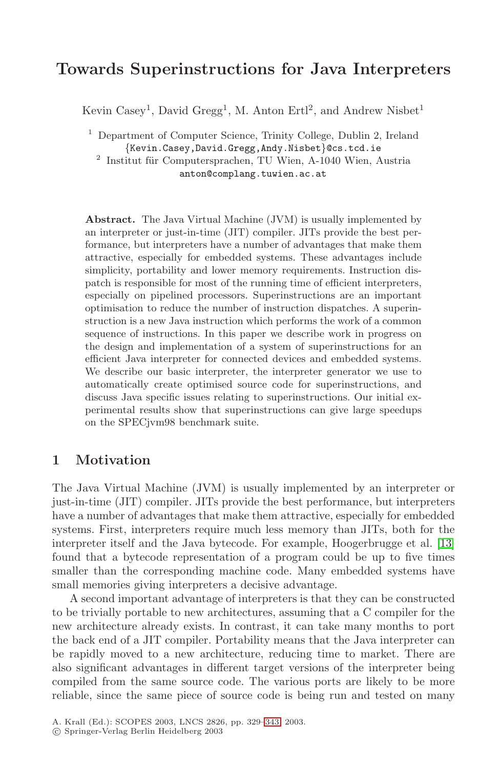# **Towards Superinstructions for Java Interpreters**

Kevin Casey<sup>1</sup>, David Gregg<sup>1</sup>, M. Anton Ertl<sup>2</sup>, and Andrew Nisbet<sup>1</sup>

<sup>1</sup> Department of Computer Science, Trinity College, Dublin 2, Ireland *{*Kevin.Casey,David.Gregg,Andy.Nisbet*}*@cs.tcd.ie <sup>2</sup> Institut f¨ur Computersprachen, TU Wien, A-1040 Wien, Austria

anton@complang.tuwien.ac.at

**Abstract.** The Java Virtual Machine (JVM) is usually implemented by an interpreter or just-in-time (JIT) compiler. JITs provide the best performance, but interpreters have a number of advantages that make them attractive, especially for embedded systems. These advantages include simplicity, portability and lower memory requirements. Instruction dispatch is responsible for most of the running time of efficient interpreters, especially on pipelined processors. Superinstructions are an important optimisation to reduce the number of instruction dispatches. A superinstruction is a new Java instruction which performs the work of a common sequence of instructions. In this paper we describe work in progress on the design and implementation of a system of superinstructions for an efficient Java interpreter for connected devices and embedded systems. We describe our basic interpreter, the interpreter generator we use to automatically create optimised source code for superinstructions, and discuss Java specific issues relating to superinstructions. Our initial experimental results show that superinstructions can give large speedups on the SPECjvm98 benchmark suite.

## **1 Motivation**

The Java Virtual Machine (JVM) is usually implemented by an interpreter or just-in-time (JIT) compiler. JITs provide the best performance, but interpreters have a number of advantages that make them attractive, especially for embedded systems. First, interpreters require much less memory than JITs, both for the interpreter itself and the Java bytecode. For example, Hoogerbrugge et al. [\[13\]](#page-14-0) found that a bytecode representation of a program could be up to five times smaller than the corresponding machine code. Many embedded systems have small memories giving interpreters a decisive advantage.

A second important advantage of interpreters is that they can be constructed to be trivially portable to new architectures, assuming that a C compiler for the new architecture already exists. In contrast, it can take many months to port the back end of a JIT compiler. Portability means that the Java interpreter can be rapidly moved to a new architecture, reducing time to market. There are also significant advantages in different target versions of the interpreter being compiled from the same source code. The various ports are likely to be more reliable, since the same piece of source code is being run and tested on many

c Springer-Verlag Berlin Heidelberg 2003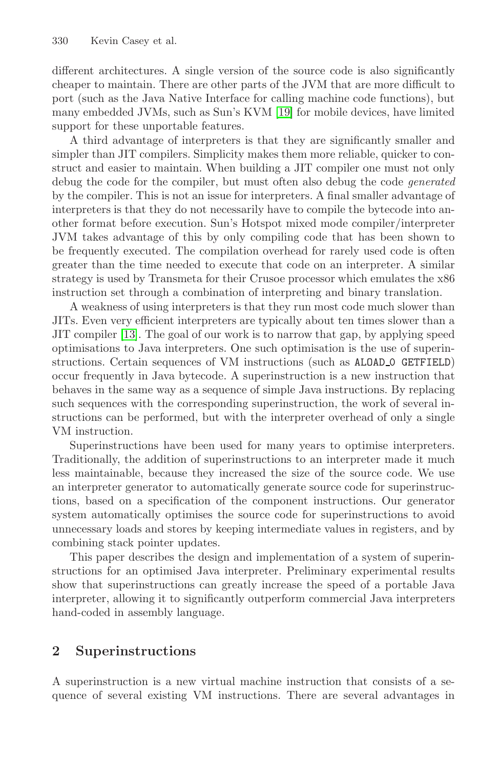different architectures. A single version of the source code is also significantly cheaper to maintain. There are other parts of the JVM that are more difficult to port (such as the Java Native Interface for calling machine code functions), but many embedded JVMs, such as Sun's KVM [\[19\]](#page-14-2) for mobile devices, have limited support for these unportable features.

A third advantage of interpreters is that they are significantly smaller and simpler than JIT compilers. Simplicity makes them more reliable, quicker to construct and easier to maintain. When building a JIT compiler one must not only debug the code for the compiler, but must often also debug the code *generated* by the compiler. This is not an issue for interpreters. A final smaller advantage of interpreters is that they do not necessarily have to compile the bytecode into another format before execution. Sun's Hotspot mixed mode compiler/interpreter JVM takes advantage of this by only compiling code that has been shown to be frequently executed. The compilation overhead for rarely used code is often greater than the time needed to execute that code on an interpreter. A similar strategy is used by Transmeta for their Crusoe processor which emulates the x86 instruction set through a combination of interpreting and binary translation.

A weakness of using interpreters is that they run most code much slower than JITs. Even very efficient interpreters are typically about ten times slower than a JIT compiler [\[13\]](#page-14-0). The goal of our work is to narrow that gap, by applying speed optimisations to Java interpreters. One such optimisation is the use of superinstructions. Certain sequences of VM instructions (such as ALOAD 0 GETFIELD) occur frequently in Java bytecode. A superinstruction is a new instruction that behaves in the same way as a sequence of simple Java instructions. By replacing such sequences with the corresponding superinstruction, the work of several instructions can be performed, but with the interpreter overhead of only a single VM instruction.

Superinstructions have been used for many years to optimise interpreters. Traditionally, the addition of superinstructions to an interpreter made it much less maintainable, because they increased the size of the source code. We use an interpreter generator to automatically generate source code for superinstructions, based on a specification of the component instructions. Our generator system automatically optimises the source code for superinstructions to avoid unnecessary loads and stores by keeping intermediate values in registers, and by combining stack pointer updates.

This paper describes the design and implementation of a system of superinstructions for an optimised Java interpreter. Preliminary experimental results show that superinstructions can greatly increase the speed of a portable Java interpreter, allowing it to significantly outperform commercial Java interpreters hand-coded in assembly language.

# **2 Superinstructions**

A superinstruction is a new virtual machine instruction that consists of a sequence of several existing VM instructions. There are several advantages in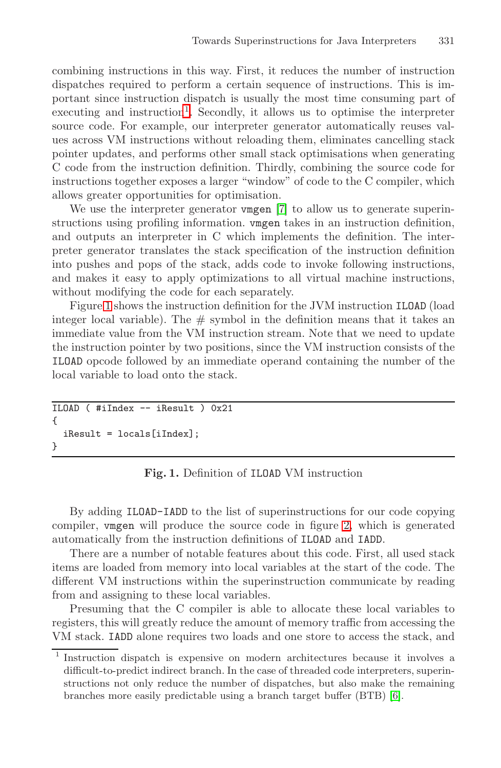combining instructions in this way. First, it reduces the number of instruction dispatches required to perform a certain sequence of instructions. This is important since instruction dispatch is usually the most time consuming part of executing and instruction<sup>[1](#page-2-0)</sup>. Secondly, it allows us to optimise the interpreter source code. For example, our interpreter generator automatically reuses values across VM instructions without reloading them, eliminates cancelling stack pointer updates, and performs other small stack optimisations when generating C code from the instruction definition. Thirdly, combining the source code for instructions together exposes a larger "window" of code to the C compiler, which allows greater opportunities for optimisation.

We use the interpreter generator vmgen [\[7\]](#page-14-3) to allow us to generate superinstructions using profiling information. vmgen takes in an instruction definition, and outputs an interpreter in C which implements the definition. The interpreter generator translates the stack specification of the instruction definition into pushes and pops of the stack, adds code to invoke following instructions, and makes it easy to apply optimizations to all virtual machine instructions, without modifying the code for each separately.

Figure [1](#page-2-1) shows the instruction definition for the JVM instruction ILOAD (load integer local variable). The  $#$  symbol in the definition means that it takes an immediate value from the VM instruction stream. Note that we need to update the instruction pointer by two positions, since the VM instruction consists of the ILOAD opcode followed by an immediate operand containing the number of the local variable to load onto the stack.

```
ILOAD ( #iIndex -- iResult ) 0x21
{
  iResult = locals[iIndex];
}
```
<span id="page-2-1"></span>**Fig. 1.** Definition of ILOAD VM instruction

By adding ILOAD-IADD to the list of superinstructions for our code copying compiler, vmgen will produce the source code in figure [2,](#page-3-0) which is generated automatically from the instruction definitions of ILOAD and IADD.

There are a number of notable features about this code. First, all used stack items are loaded from memory into local variables at the start of the code. The different VM instructions within the superinstruction communicate by reading from and assigning to these local variables.

Presuming that the C compiler is able to allocate these local variables to registers, this will greatly reduce the amount of memory traffic from accessing the VM stack. IADD alone requires two loads and one store to access the stack, and

<span id="page-2-0"></span><sup>1</sup> Instruction dispatch is expensive on modern architectures because it involves a difficult-to-predict indirect branch. In the case of threaded code interpreters, superinstructions not only reduce the number of dispatches, but also make the remaining branches more easily predictable using a branch target buffer (BTB) [\[6\]](#page-14-4).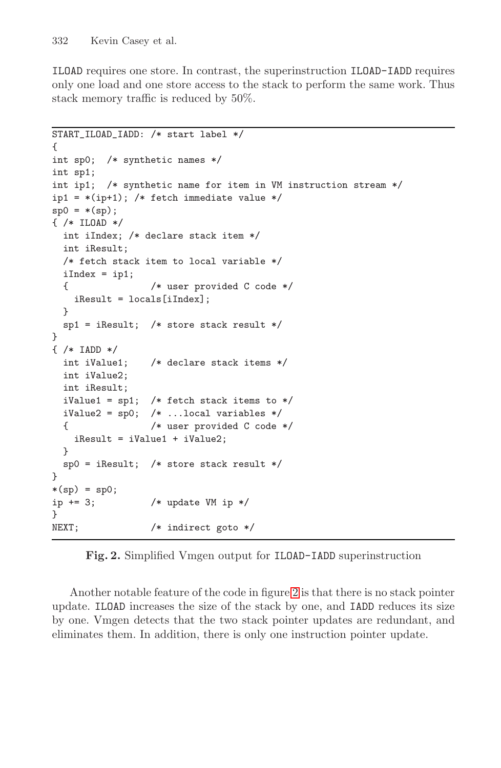ILOAD requires one store. In contrast, the superinstruction ILOAD-IADD requires only one load and one store access to the stack to perform the same work. Thus stack memory traffic is reduced by 50%.

```
START_ILOAD_IADD: /* start label */
{
int sp0; /* synthetic names */
int sp1;
int ip1; /* synthetic name for item in VM instruction stream */
ip1 = *(ip+1); /* fetch immediate value */
sp0 = * (sp);{ /* ILOAD */
 int iIndex; /* declare stack item */
 int iResult;
 /* fetch stack item to local variable */
 iIndex = ip1;{ /* user provided C code */
   iResult = locals[iIndex];
 }
 sp1 = iResult; /* store stack result */
}
{ /* IADD */
 int iValue1; /* declare stack items */
 int iValue2;
 int iResult;
 iValue1 = \text{spl}; /* fetch stack items to */
 iValue2 = sp0; /* ...local variables */
 { /* user provided C code */
   iResult = iValue1 + iValue2;
 }
 sp0 = iResult; /* store stack result */
}
*(sp) = sp0;ip += 3; /* update VM ip */
}
NEXT; /* indirect goto */
```

|  |  |  | Fig. 2. Simplified Vmgen output for ILOAD-IADD superinstruction |  |
|--|--|--|-----------------------------------------------------------------|--|
|  |  |  |                                                                 |  |

<span id="page-3-0"></span>Another notable feature of the code in figure [2](#page-3-0) is that there is no stack pointer update. ILOAD increases the size of the stack by one, and IADD reduces its size by one. Vmgen detects that the two stack pointer updates are redundant, and eliminates them. In addition, there is only one instruction pointer update.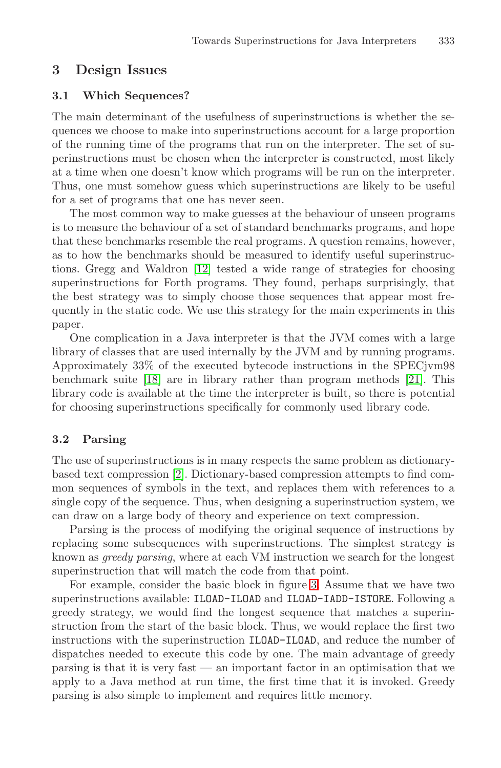## **3 Design Issues**

# **3.1 Which Sequences?**

The main determinant of the usefulness of superinstructions is whether the sequences we choose to make into superinstructions account for a large proportion of the running time of the programs that run on the interpreter. The set of superinstructions must be chosen when the interpreter is constructed, most likely at a time when one doesn't know which programs will be run on the interpreter. Thus, one must somehow guess which superinstructions are likely to be useful for a set of programs that one has never seen.

The most common way to make guesses at the behaviour of unseen programs is to measure the behaviour of a set of standard benchmarks programs, and hope that these benchmarks resemble the real programs. A question remains, however, as to how the benchmarks should be measured to identify useful superinstructions. Gregg and Waldron [\[12\]](#page-14-5) tested a wide range of strategies for choosing superinstructions for Forth programs. They found, perhaps surprisingly, that the best strategy was to simply choose those sequences that appear most frequently in the static code. We use this strategy for the main experiments in this paper.

One complication in a Java interpreter is that the JVM comes with a large library of classes that are used internally by the JVM and by running programs. Approximately 33% of the executed bytecode instructions in the SPECjvm98 benchmark suite [\[18\]](#page-14-6) are in library rather than program methods [\[21\]](#page-14-7). This library code is available at the time the interpreter is built, so there is potential for choosing superinstructions specifically for commonly used library code.

#### $3.2$ **3.2 Parsing**

The use of superinstructions is in many respects the same problem as dictionarybased text compression [\[2\]](#page-13-0). Dictionary-based compression attempts to find common sequences of symbols in the text, and replaces them with references to a single copy of the sequence. Thus, when designing a superinstruction system, we can draw on a large body of theory and experience on text compression.

Parsing is the process of modifying the original sequence of instructions by replacing some subsequences with superinstructions. The simplest strategy is known as *greedy parsing*, where at each VM instruction we search for the longest superinstruction that will match the code from that point.

For example, consider the basic block in figure [3.](#page-5-0) Assume that we have two superinstructions available: ILOAD-ILOAD and ILOAD-IADD-ISTORE. Following a greedy strategy, we would find the longest sequence that matches a superinstruction from the start of the basic block. Thus, we would replace the first two instructions with the superinstruction ILOAD-ILOAD, and reduce the number of dispatches needed to execute this code by one. The main advantage of greedy parsing is that it is very fast — an important factor in an optimisation that we apply to a Java method at run time, the first time that it is invoked. Greedy parsing is also simple to implement and requires little memory.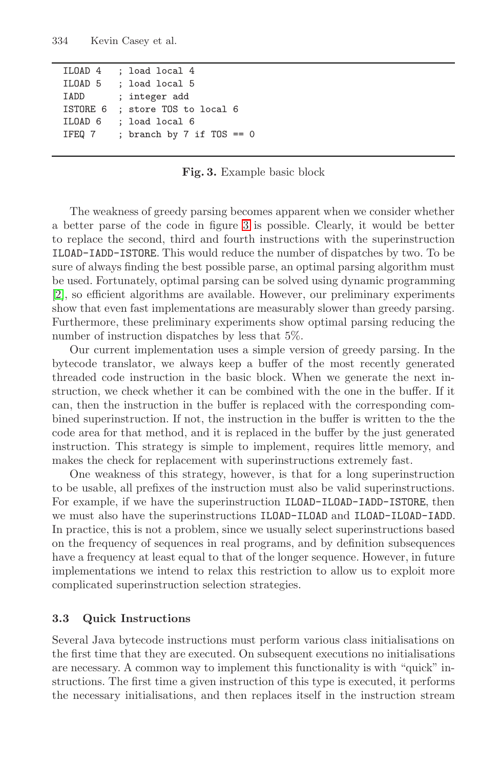| ILOAD 4  | ; load local 4              |
|----------|-----------------------------|
| ILOAD 5  | ; load local 5              |
| IADD     | ; integer add               |
| ISTORE 6 | ; store TOS to local 6      |
| ILOAD 6  | ; load local 6              |
| IFEO 7   | ; branch by 7 if $TOS == 0$ |
|          |                             |

<span id="page-5-0"></span>**Fig. 3.** Example basic block

The weakness of greedy parsing becomes apparent when we consider whether a better parse of the code in figure [3](#page-5-0) is possible. Clearly, it would be better to replace the second, third and fourth instructions with the superinstruction ILOAD-IADD-ISTORE. This would reduce the number of dispatches by two. To be sure of always finding the best possible parse, an optimal parsing algorithm must be used. Fortunately, optimal parsing can be solved using dynamic programming [\[2\]](#page-13-0), so efficient algorithms are available. However, our preliminary experiments show that even fast implementations are measurably slower than greedy parsing. Furthermore, these preliminary experiments show optimal parsing reducing the number of instruction dispatches by less that 5%.

Our current implementation uses a simple version of greedy parsing. In the bytecode translator, we always keep a buffer of the most recently generated threaded code instruction in the basic block. When we generate the next instruction, we check whether it can be combined with the one in the buffer. If it can, then the instruction in the buffer is replaced with the corresponding combined superinstruction. If not, the instruction in the buffer is written to the the code area for that method, and it is replaced in the buffer by the just generated instruction. This strategy is simple to implement, requires little memory, and makes the check for replacement with superinstructions extremely fast.

One weakness of this strategy, however, is that for a long superinstruction to be usable, all prefixes of the instruction must also be valid superinstructions. For example, if we have the superinstruction ILOAD-ILOAD-IADD-ISTORE, then we must also have the superinstructions ILOAD-ILOAD and ILOAD-ILOAD-IADD. In practice, this is not a problem, since we usually select superinstructions based on the frequency of sequences in real programs, and by definition subsequences have a frequency at least equal to that of the longer sequence. However, in future implementations we intend to relax this restriction to allow us to exploit more complicated superinstruction selection strategies.

#### <span id="page-5-1"></span>**3.3 Quick Instructions**

Several Java bytecode instructions must perform various class initialisations on the first time that they are executed. On subsequent executions no initialisations are necessary. A common way to implement this functionality is with "quick" instructions. The first time a given instruction of this type is executed, it performs the necessary initialisations, and then replaces itself in the instruction stream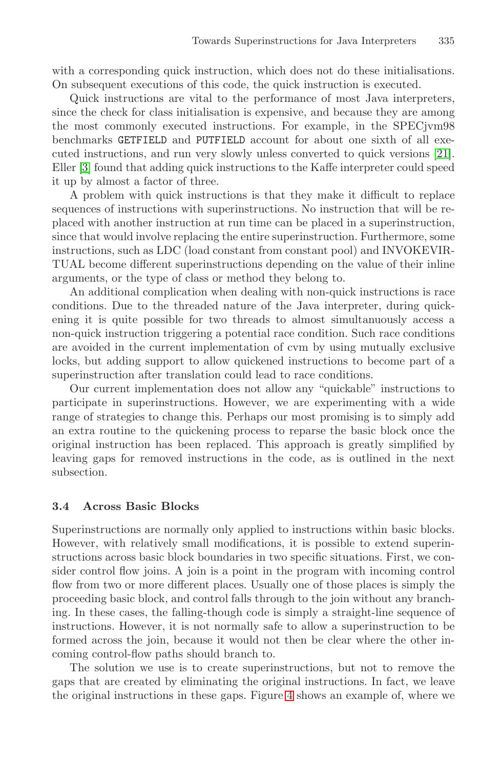with a corresponding quick instruction, which does not do these initialisations. On subsequent executions of this code, the quick instruction is executed.

Quick instructions are vital to the performance of most Java interpreters, since the check for class initialisation is expensive, and because they are among the most commonly executed instructions. For example, in the SPECjvm98 benchmarks GETFIELD and PUTFIELD account for about one sixth of all executed instructions, and run very slowly unless converted to quick versions [\[21\]](#page-14-7). Eller [\[3\]](#page-13-1) found that adding quick instructions to the Kaffe interpreter could speed it up by almost a factor of three.

A problem with quick instructions is that they make it difficult to replace sequences of instructions with superinstructions. No instruction that will be replaced with another instruction at run time can be placed in a superinstruction, since that would involve replacing the entire superinstruction. Furthermore, some instructions, such as LDC (load constant from constant pool) and INVOKEVIR-TUAL become different superinstructions depending on the value of their inline arguments, or the type of class or method they belong to.

An additional complication when dealing with non-quick instructions is race conditions. Due to the threaded nature of the Java interpreter, during quickening it is quite possible for two threads to almost simultanuously access a non-quick instruction triggering a potential race condition. Such race conditions are avoided in the current implementation of cvm by using mutually exclusive locks, but adding support to allow quickened instructions to become part of a superinstruction after translation could lead to race conditions.

Our current implementation does not allow any "quickable" instructions to participate in superinstructions. However, we are experimenting with a wide range of strategies to change this. Perhaps our most promising is to simply add an extra routine to the quickening process to reparse the basic block once the original instruction has been replaced. This approach is greatly simplified by leaving gaps for removed instructions in the code, as is outlined in the next subsection.

#### 3.4

Superinstructions are normally only applied to instructions within basic blocks. However, with relatively small modifications, it is possible to extend superinstructions across basic block boundaries in two specific situations. First, we consider control flow joins. A join is a point in the program with incoming control flow from two or more different places. Usually one of those places is simply the proceeding basic block, and control falls through to the join without any branching. In these cases, the falling-though code is simply a straight-line sequence of instructions. However, it is not normally safe to allow a superinstruction to be formed across the join, because it would not then be clear where the other incoming control-flow paths should branch to.

The solution we use is to create superinstructions, but not to remove the gaps that are created by eliminating the original instructions. In fact, we leave the original instructions in these gaps. Figure [4](#page-7-0) shows an example of, where we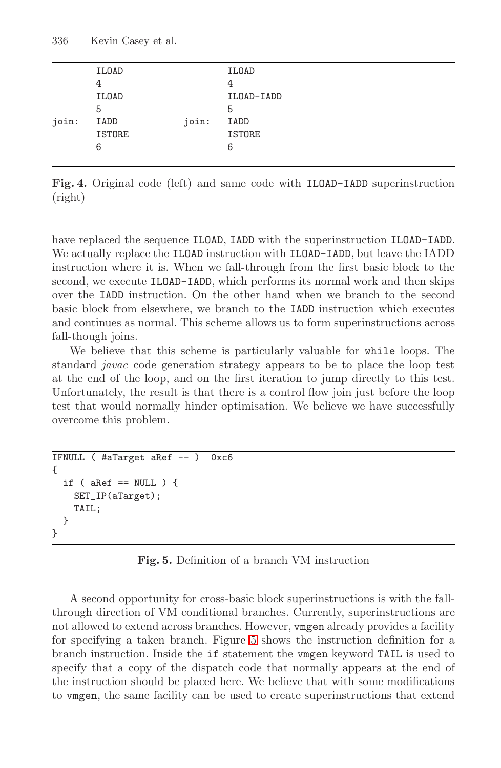|       | ILOAD         |       | ILOAD         |
|-------|---------------|-------|---------------|
|       | 4             |       | 4             |
|       | <b>ILOAD</b>  |       | ILOAD-IADD    |
|       | 5             |       | 5             |
| join: | IADD          | join: | IADD          |
|       | <b>ISTORE</b> |       | <b>ISTORE</b> |
|       | 6             |       | 6             |
|       |               |       |               |

<span id="page-7-0"></span>**Fig. 4.** Original code (left) and same code with ILOAD-IADD superinstruction (right)

have replaced the sequence ILOAD, IADD with the superinstruction ILOAD-IADD. We actually replace the ILOAD instruction with ILOAD-IADD, but leave the IADD instruction where it is. When we fall-through from the first basic block to the second, we execute ILOAD-IADD, which performs its normal work and then skips over the IADD instruction. On the other hand when we branch to the second basic block from elsewhere, we branch to the IADD instruction which executes and continues as normal. This scheme allows us to form superinstructions across fall-though joins.

We believe that this scheme is particularly valuable for while loops. The standard *javac* code generation strategy appears to be to place the loop test at the end of the loop, and on the first iteration to jump directly to this test. Unfortunately, the result is that there is a control flow join just before the loop test that would normally hinder optimisation. We believe we have successfully overcome this problem.

```
IFNULL ( #aTarget aRef -- ) 0xc6
{
  if ( aRef == NULL ) {
    SET_IP(aTarget);
    TAIL;
  }
}
```
<span id="page-7-1"></span>**Fig. 5.** Definition of a branch VM instruction

A second opportunity for cross-basic block superinstructions is with the fallthrough direction of VM conditional branches. Currently, superinstructions are not allowed to extend across branches. However, vmgen already provides a facility for specifying a taken branch. Figure [5](#page-7-1) shows the instruction definition for a branch instruction. Inside the if statement the vmgen keyword TAIL is used to specify that a copy of the dispatch code that normally appears at the end of the instruction should be placed here. We believe that with some modifications to vmgen, the same facility can be used to create superinstructions that extend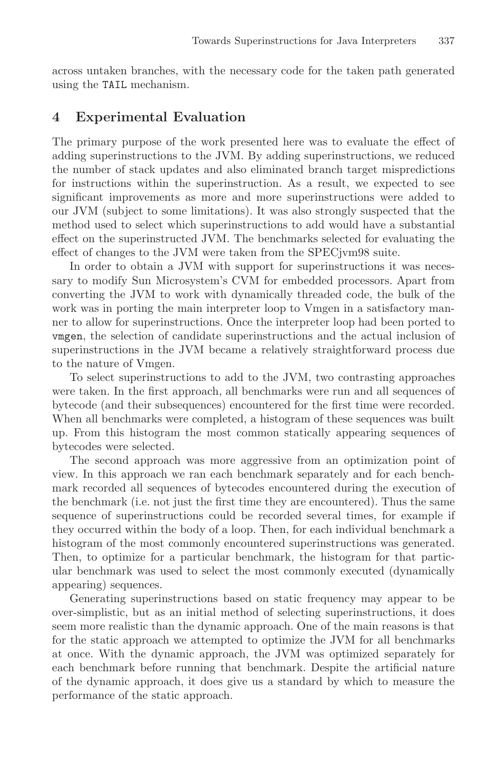across untaken branches, with the necessary code for the taken path generated using the TAIL mechanism.

### **4 Experimental Evaluation**

The primary purpose of the work presented here was to evaluate the effect of adding superinstructions to the JVM. By adding superinstructions, we reduced the number of stack updates and also eliminated branch target mispredictions for instructions within the superinstruction. As a result, we expected to see significant improvements as more and more superinstructions were added to our JVM (subject to some limitations). It was also strongly suspected that the method used to select which superinstructions to add would have a substantial effect on the superinstructed JVM. The benchmarks selected for evaluating the effect of changes to the JVM were taken from the SPECjvm98 suite.

In order to obtain a JVM with support for superinstructions it was necessary to modify Sun Microsystem's CVM for embedded processors. Apart from converting the JVM to work with dynamically threaded code, the bulk of the work was in porting the main interpreter loop to Vmgen in a satisfactory manner to allow for superinstructions. Once the interpreter loop had been ported to vmgen, the selection of candidate superinstructions and the actual inclusion of superinstructions in the JVM became a relatively straightforward process due to the nature of Vmgen.

To select superinstructions to add to the JVM, two contrasting approaches were taken. In the first approach, all benchmarks were run and all sequences of bytecode (and their subsequences) encountered for the first time were recorded. When all benchmarks were completed, a histogram of these sequences was built up. From this histogram the most common statically appearing sequences of bytecodes were selected.

The second approach was more aggressive from an optimization point of view. In this approach we ran each benchmark separately and for each benchmark recorded all sequences of bytecodes encountered during the execution of the benchmark (i.e. not just the first time they are encountered). Thus the same sequence of superinstructions could be recorded several times, for example if they occurred within the body of a loop. Then, for each individual benchmark a histogram of the most commonly encountered superinstructions was generated. Then, to optimize for a particular benchmark, the histogram for that particular benchmark was used to select the most commonly executed (dynamically appearing) sequences.

Generating superinstructions based on static frequency may appear to be over-simplistic, but as an initial method of selecting superinstructions, it does seem more realistic than the dynamic approach. One of the main reasons is that for the static approach we attempted to optimize the JVM for all benchmarks at once. With the dynamic approach, the JVM was optimized separately for each benchmark before running that benchmark. Despite the artificial nature of the dynamic approach, it does give us a standard by which to measure the performance of the static approach.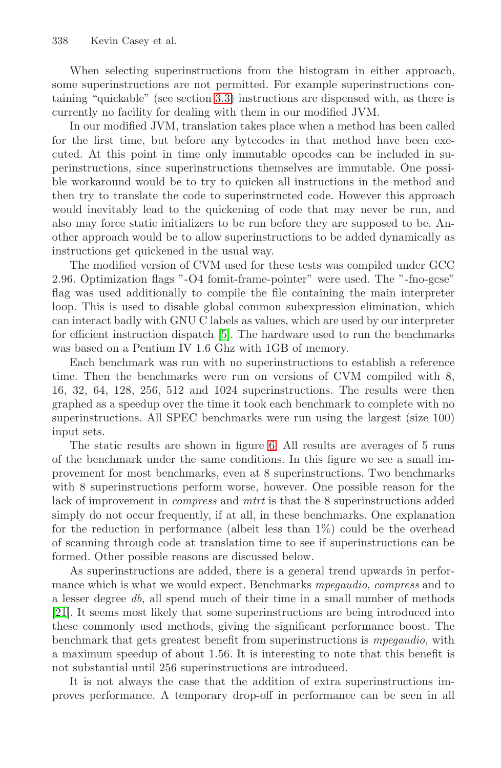When selecting superinstructions from the histogram in either approach, some superinstructions are not permitted. For example superinstructions containing "quickable" (see section [3.3\)](#page-5-1) instructions are dispensed with, as there is currently no facility for dealing with them in our modified JVM.

In our modified JVM, translation takes place when a method has been called for the first time, but before any bytecodes in that method have been executed. At this point in time only immutable opcodes can be included in superinstructions, since superinstructions themselves are immutable. One possible workaround would be to try to quicken all instructions in the method and then try to translate the code to superinstructed code. However this approach would inevitably lead to the quickening of code that may never be run, and also may force static initializers to be run before they are supposed to be. Another approach would be to allow superinstructions to be added dynamically as instructions get quickened in the usual way.

The modified version of CVM used for these tests was compiled under GCC 2.96. Optimization flags "-O4 fomit-frame-pointer" were used. The "-fno-gcse" flag was used additionally to compile the file containing the main interpreter loop. This is used to disable global common subexpression elimination, which can interact badly with GNU C labels as values, which are used by our interpreter for efficient instruction dispatch [\[5\]](#page-13-2). The hardware used to run the benchmarks was based on a Pentium IV 1.6 Ghz with 1GB of memory.

Each benchmark was run with no superinstructions to establish a reference time. Then the benchmarks were run on versions of CVM compiled with 8, 16, 32, 64, 128, 256, 512 and 1024 superinstructions. The results were then graphed as a speedup over the time it took each benchmark to complete with no superinstructions. All SPEC benchmarks were run using the largest (size 100) input sets.

The static results are shown in figure [6.](#page-10-0) All results are averages of 5 runs of the benchmark under the same conditions. In this figure we see a small improvement for most benchmarks, even at 8 superinstructions. Two benchmarks with 8 superinstructions perform worse, however. One possible reason for the lack of improvement in *compress* and *mtrt* is that the 8 superinstructions added simply do not occur frequently, if at all, in these benchmarks. One explanation for the reduction in performance (albeit less than  $1\%$ ) could be the overhead of scanning through code at translation time to see if superinstructions can be formed. Other possible reasons are discussed below.

As superinstructions are added, there is a general trend upwards in performance which is what we would expect. Benchmarks *mpegaudio*, *compress* and to a lesser degree *db*, all spend much of their time in a small number of methods [\[21\]](#page-14-7). It seems most likely that some superinstructions are being introduced into these commonly used methods, giving the significant performance boost. The benchmark that gets greatest benefit from superinstructions is *mpegaudio*, with a maximum speedup of about 1.56. It is interesting to note that this benefit is not substantial until 256 superinstructions are introduced.

It is not always the case that the addition of extra superinstructions improves performance. A temporary drop-off in performance can be seen in all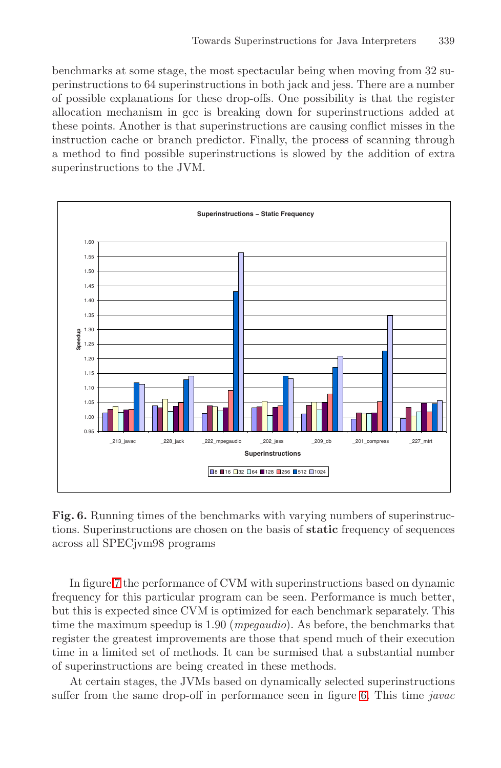benchmarks at some stage, the most spectacular being when moving from 32 superinstructions to 64 superinstructions in both jack and jess. There are a number of possible explanations for these drop-offs. One possibility is that the register allocation mechanism in gcc is breaking down for superinstructions added at these points. Another is that superinstructions are causing conflict misses in the instruction cache or branch predictor. Finally, the process of scanning through a method to find possible superinstructions is slowed by the addition of extra superinstructions to the JVM.



<span id="page-10-0"></span>**Fig. 6.** Running times of the benchmarks with varying numbers of superinstructions. Superinstructions are chosen on the basis of **static** frequency of sequences across all SPECjvm98 programs

In figure [7](#page-11-0) the performance of CVM with superinstructions based on dynamic frequency for this particular program can be seen. Performance is much better, but this is expected since CVM is optimized for each benchmark separately. This time the maximum speedup is 1.90 (*mpegaudio*). As before, the benchmarks that register the greatest improvements are those that spend much of their execution time in a limited set of methods. It can be surmised that a substantial number of superinstructions are being created in these methods.

At certain stages, the JVMs based on dynamically selected superinstructions suffer from the same drop-off in performance seen in figure [6.](#page-10-0) This time *javac*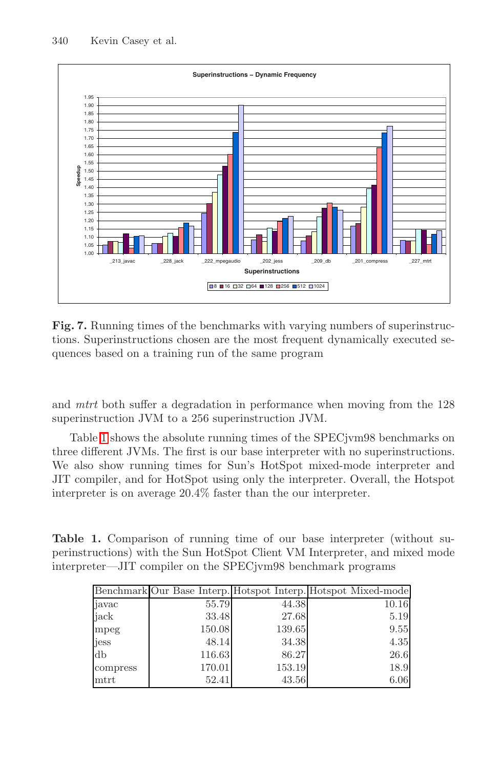

<span id="page-11-0"></span>**Fig. 7.** Running times of the benchmarks with varying numbers of superinstructions. Superinstructions chosen are the most frequent dynamically executed sequences based on a training run of the same program

and *mtrt* both suffer a degradation in performance when moving from the 128 superinstruction JVM to a 256 superinstruction JVM.

Table [1](#page-11-1) shows the absolute running times of the SPECjvm98 benchmarks on three different JVMs. The first is our base interpreter with no superinstructions. We also show running times for Sun's HotSpot mixed-mode interpreter and JIT compiler, and for HotSpot using only the interpreter. Overall, the Hotspot interpreter is on average 20.4% faster than the our interpreter.

<span id="page-11-1"></span>**Table 1.** Comparison of running time of our base interpreter (without superinstructions) with the Sun HotSpot Client VM Interpreter, and mixed mode interpreter—JIT compiler on the SPECjvm98 benchmark programs

|          |        |        | Benchmark Our Base Interp. Hotspot Interp. Hotspot Mixed-mode |
|----------|--------|--------|---------------------------------------------------------------|
| javac    | 55.79  | 44.38  | 10.16                                                         |
| jack     | 33.48  | 27.68  | 5.19                                                          |
| mpeg     | 150.08 | 139.65 | 9.55                                                          |
| jess     | 48.14  | 34.38  | 4.35                                                          |
| db       | 116.63 | 86.27  | 26.6                                                          |
| compress | 170.01 | 153.19 | 18.9                                                          |
| mtrt     | 52.41  | 43.56  | 6.06                                                          |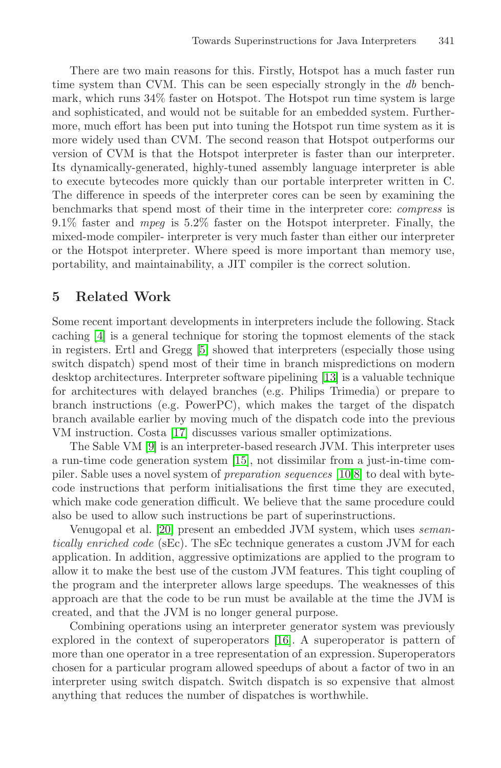There are two main reasons for this. Firstly, Hotspot has a much faster run time system than CVM. This can be seen especially strongly in the *db* benchmark, which runs 34% faster on Hotspot. The Hotspot run time system is large and sophisticated, and would not be suitable for an embedded system. Furthermore, much effort has been put into tuning the Hotspot run time system as it is more widely used than CVM. The second reason that Hotspot outperforms our version of CVM is that the Hotspot interpreter is faster than our interpreter. Its dynamically-generated, highly-tuned assembly language interpreter is able to execute bytecodes more quickly than our portable interpreter written in C. The difference in speeds of the interpreter cores can be seen by examining the benchmarks that spend most of their time in the interpreter core: *compress* is 9.1% faster and *mpeg* is 5.2% faster on the Hotspot interpreter. Finally, the mixed-mode compiler- interpreter is very much faster than either our interpreter or the Hotspot interpreter. Where speed is more important than memory use, portability, and maintainability, a JIT compiler is the correct solution.

## **5 Related Work**

Some recent important developments in interpreters include the following. Stack caching [\[4\]](#page-13-3) is a general technique for storing the topmost elements of the stack in registers. Ertl and Gregg [\[5\]](#page-13-2) showed that interpreters (especially those using switch dispatch) spend most of their time in branch mispredictions on modern desktop architectures. Interpreter software pipelining [\[13\]](#page-14-0) is a valuable technique for architectures with delayed branches (e.g. Philips Trimedia) or prepare to branch instructions (e.g. PowerPC), which makes the target of the dispatch branch available earlier by moving much of the dispatch code into the previous VM instruction. Costa [\[17\]](#page-14-8) discusses various smaller optimizations.

The Sable VM [\[9\]](#page-14-9) is an interpreter-based research JVM. This interpreter uses a run-time code generation system [\[15\]](#page-14-10), not dissimilar from a just-in-time compiler. Sable uses a novel system of *preparation sequences* [\[10](#page-14-11)[,8\]](#page-14-12) to deal with bytecode instructions that perform initialisations the first time they are executed, which make code generation difficult. We believe that the same procedure could also be used to allow such instructions be part of superinstructions.

Venugopal et al. [\[20\]](#page-14-13) present an embedded JVM system, which uses *semantically enriched code* (sEc). The sEc technique generates a custom JVM for each application. In addition, aggressive optimizations are applied to the program to allow it to make the best use of the custom JVM features. This tight coupling of the program and the interpreter allows large speedups. The weaknesses of this approach are that the code to be run must be available at the time the JVM is created, and that the JVM is no longer general purpose.

Combining operations using an interpreter generator system was previously explored in the context of superoperators [\[16\]](#page-14-14). A superoperator is pattern of more than one operator in a tree representation of an expression. Superoperators chosen for a particular program allowed speedups of about a factor of two in an interpreter using switch dispatch. Switch dispatch is so expensive that almost anything that reduces the number of dispatches is worthwhile.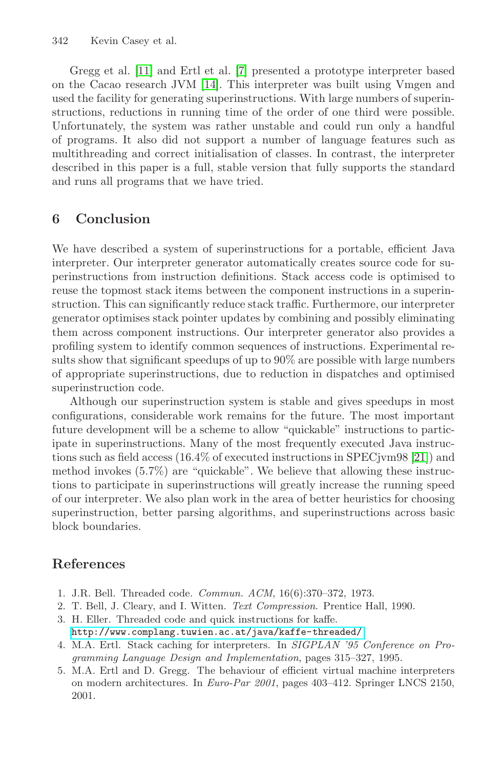Gregg et al. [\[11\]](#page-14-15) and Ertl et al. [\[7\]](#page-14-3) presented a prototype interpreter based on the Cacao research JVM [\[14\]](#page-14-16). This interpreter was built using Vmgen and used the facility for generating superinstructions. With large numbers of superinstructions, reductions in running time of the order of one third were possible. Unfortunately, the system was rather unstable and could run only a handful of programs. It also did not support a number of language features such as multithreading and correct initialisation of classes. In contrast, the interpreter described in this paper is a full, stable version that fully supports the standard and runs all programs that we have tried.

# **6 Conclusion**

We have described a system of superinstructions for a portable, efficient Java interpreter. Our interpreter generator automatically creates source code for superinstructions from instruction definitions. Stack access code is optimised to reuse the topmost stack items between the component instructions in a superinstruction. This can significantly reduce stack traffic. Furthermore, our interpreter generator optimises stack pointer updates by combining and possibly eliminating them across component instructions. Our interpreter generator also provides a profiling system to identify common sequences of instructions. Experimental results show that significant speedups of up to 90% are possible with large numbers of appropriate superinstructions, due to reduction in dispatches and optimised superinstruction code.

Although our superinstruction system is stable and gives speedups in most configurations, considerable work remains for the future. The most important future development will be a scheme to allow "quickable" instructions to participate in superinstructions. Many of the most frequently executed Java instructions such as field access (16.4% of executed instructions in SPECjvm98 [\[21\]](#page-14-7)) and method invokes (5.7%) are "quickable". We believe that allowing these instructions to participate in superinstructions will greatly increase the running speed of our interpreter. We also plan work in the area of better heuristics for choosing superinstruction, better parsing algorithms, and superinstructions across basic block boundaries.

# **References**

- 1. J.R. Bell. Threaded code. *Commun. ACM*, 16(6):370–372, 1973.
- <span id="page-13-1"></span><span id="page-13-0"></span>2. T. Bell, J. Cleary, and I. Witten. *Text Compression*. Prentice Hall, 1990.
- 3. H. Eller. Threaded code and quick instructions for kaffe. <http://www.complang.tuwien.ac.at/java/kaffe-threaded/>.
- <span id="page-13-3"></span>4. M.A. Ertl. Stack caching for interpreters. In *SIGPLAN '95 Conference on Programming Language Design and Implementation*, pages 315–327, 1995.
- <span id="page-13-2"></span>5. M.A. Ertl and D. Gregg. The behaviour of efficient virtual machine interpreters on modern architectures. In *Euro-Par 2001*, pages 403–412. Springer LNCS 2150, 2001.